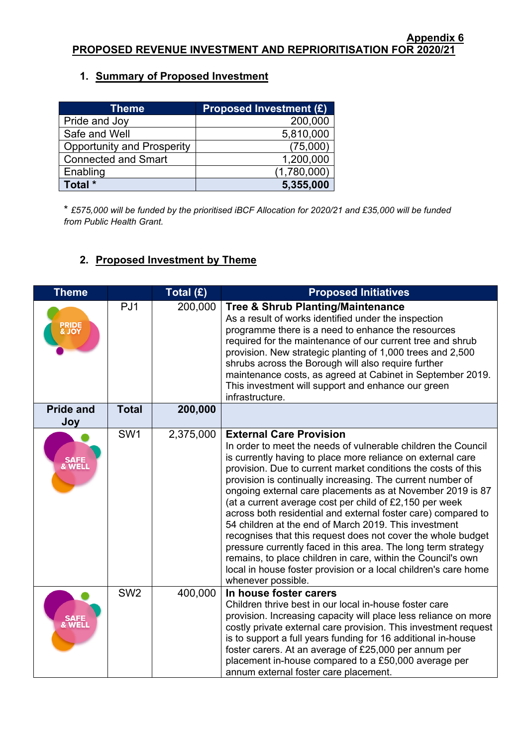# **1. Summary of Proposed Investment**

| <b>Theme</b>                      | <b>Proposed Investment (£)</b> |
|-----------------------------------|--------------------------------|
| Pride and Joy                     | 200,000                        |
| Safe and Well                     | 5,810,000                      |
| <b>Opportunity and Prosperity</b> | (75,000)                       |
| <b>Connected and Smart</b>        | 1,200,000                      |
| Enabling                          | (1,780,000)                    |
| Total *                           | 5,355,000                      |

\* *£575,000 will be funded by the prioritised iBCF Allocation for 2020/21 and £35,000 will be funded from Public Health Grant.*

# **2. Proposed Investment by Theme**

| <b>Theme</b>               |                 | Total (£) | <b>Proposed Initiatives</b>                                                                                                                                                                                                                                                                                                                                                                                                                                                                                                                                                                                                                                                                                                                                                                                                                |
|----------------------------|-----------------|-----------|--------------------------------------------------------------------------------------------------------------------------------------------------------------------------------------------------------------------------------------------------------------------------------------------------------------------------------------------------------------------------------------------------------------------------------------------------------------------------------------------------------------------------------------------------------------------------------------------------------------------------------------------------------------------------------------------------------------------------------------------------------------------------------------------------------------------------------------------|
| <b>PRIDE<br/>&amp; JOY</b> | PJ <sub>1</sub> | 200,000   | <b>Tree &amp; Shrub Planting/Maintenance</b><br>As a result of works identified under the inspection<br>programme there is a need to enhance the resources<br>required for the maintenance of our current tree and shrub<br>provision. New strategic planting of 1,000 trees and 2,500<br>shrubs across the Borough will also require further<br>maintenance costs, as agreed at Cabinet in September 2019.<br>This investment will support and enhance our green<br>infrastructure.                                                                                                                                                                                                                                                                                                                                                       |
| <b>Pride and</b><br>Joy    | <b>Total</b>    | 200,000   |                                                                                                                                                                                                                                                                                                                                                                                                                                                                                                                                                                                                                                                                                                                                                                                                                                            |
| SAFE<br>& WELL             | SW <sub>1</sub> | 2,375,000 | <b>External Care Provision</b><br>In order to meet the needs of vulnerable children the Council<br>is currently having to place more reliance on external care<br>provision. Due to current market conditions the costs of this<br>provision is continually increasing. The current number of<br>ongoing external care placements as at November 2019 is 87<br>(at a current average cost per child of £2,150 per week<br>across both residential and external foster care) compared to<br>54 children at the end of March 2019. This investment<br>recognises that this request does not cover the whole budget<br>pressure currently faced in this area. The long term strategy<br>remains, to place children in care, within the Council's own<br>local in house foster provision or a local children's care home<br>whenever possible. |
| SAFE<br>& WELL             | SW <sub>2</sub> | 400,000   | In house foster carers<br>Children thrive best in our local in-house foster care<br>provision. Increasing capacity will place less reliance on more<br>costly private external care provision. This investment request<br>is to support a full years funding for 16 additional in-house<br>foster carers. At an average of £25,000 per annum per<br>placement in-house compared to a £50,000 average per<br>annum external foster care placement.                                                                                                                                                                                                                                                                                                                                                                                          |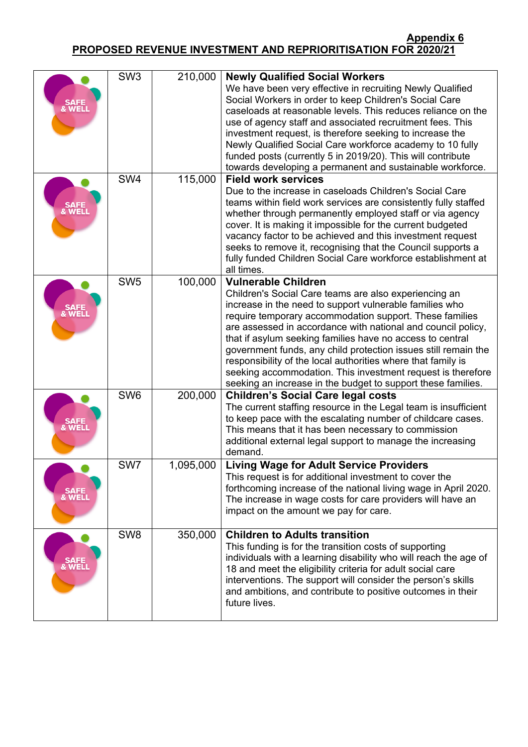| SAFE<br>WELI   | SW <sub>3</sub> | 210,000   | <b>Newly Qualified Social Workers</b><br>We have been very effective in recruiting Newly Qualified<br>Social Workers in order to keep Children's Social Care<br>caseloads at reasonable levels. This reduces reliance on the<br>use of agency staff and associated recruitment fees. This<br>investment request, is therefore seeking to increase the<br>Newly Qualified Social Care workforce academy to 10 fully<br>funded posts (currently 5 in 2019/20). This will contribute<br>towards developing a permanent and sustainable workforce.                                                          |
|----------------|-----------------|-----------|---------------------------------------------------------------------------------------------------------------------------------------------------------------------------------------------------------------------------------------------------------------------------------------------------------------------------------------------------------------------------------------------------------------------------------------------------------------------------------------------------------------------------------------------------------------------------------------------------------|
| <b>WEL</b>     | SW <sub>4</sub> | 115,000   | <b>Field work services</b><br>Due to the increase in caseloads Children's Social Care<br>teams within field work services are consistently fully staffed<br>whether through permanently employed staff or via agency<br>cover. It is making it impossible for the current budgeted<br>vacancy factor to be achieved and this investment request<br>seeks to remove it, recognising that the Council supports a<br>fully funded Children Social Care workforce establishment at<br>all times.                                                                                                            |
|                | SW <sub>5</sub> | 100,000   | <b>Vulnerable Children</b><br>Children's Social Care teams are also experiencing an<br>increase in the need to support vulnerable families who<br>require temporary accommodation support. These families<br>are assessed in accordance with national and council policy,<br>that if asylum seeking families have no access to central<br>government funds, any child protection issues still remain the<br>responsibility of the local authorities where that family is<br>seeking accommodation. This investment request is therefore<br>seeking an increase in the budget to support these families. |
| <b>WEL</b>     | SW <sub>6</sub> | 200,000   | <b>Children's Social Care legal costs</b><br>The current staffing resource in the Legal team is insufficient<br>to keep pace with the escalating number of childcare cases.<br>This means that it has been necessary to commission<br>additional external legal support to manage the increasing<br>demand.                                                                                                                                                                                                                                                                                             |
| SAFE<br>& WELL | SW7             | 1,095,000 | <b>Living Wage for Adult Service Providers</b><br>This request is for additional investment to cover the<br>forthcoming increase of the national living wage in April 2020.<br>The increase in wage costs for care providers will have an<br>impact on the amount we pay for care.                                                                                                                                                                                                                                                                                                                      |
| SAFE<br>& WELL | SW <sub>8</sub> | 350,000   | <b>Children to Adults transition</b><br>This funding is for the transition costs of supporting<br>individuals with a learning disability who will reach the age of<br>18 and meet the eligibility criteria for adult social care<br>interventions. The support will consider the person's skills<br>and ambitions, and contribute to positive outcomes in their<br>future lives.                                                                                                                                                                                                                        |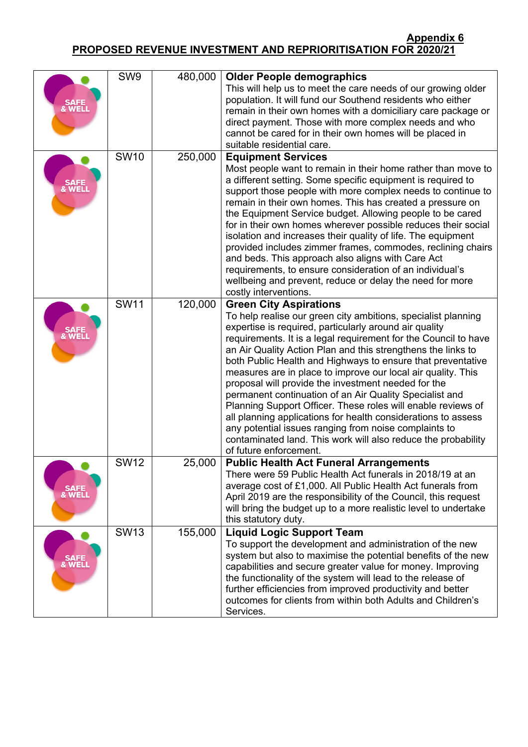| SAFE<br>& WELL | SW9         | 480,000 | <b>Older People demographics</b><br>This will help us to meet the care needs of our growing older<br>population. It will fund our Southend residents who either<br>remain in their own homes with a domiciliary care package or<br>direct payment. Those with more complex needs and who<br>cannot be cared for in their own homes will be placed in<br>suitable residential care.                                                                                                                                                                                                                                                                                                                                                                                                                                                |
|----------------|-------------|---------|-----------------------------------------------------------------------------------------------------------------------------------------------------------------------------------------------------------------------------------------------------------------------------------------------------------------------------------------------------------------------------------------------------------------------------------------------------------------------------------------------------------------------------------------------------------------------------------------------------------------------------------------------------------------------------------------------------------------------------------------------------------------------------------------------------------------------------------|
| SAFE<br>& WELL | <b>SW10</b> | 250,000 | <b>Equipment Services</b><br>Most people want to remain in their home rather than move to<br>a different setting. Some specific equipment is required to<br>support those people with more complex needs to continue to<br>remain in their own homes. This has created a pressure on<br>the Equipment Service budget. Allowing people to be cared<br>for in their own homes wherever possible reduces their social<br>isolation and increases their quality of life. The equipment<br>provided includes zimmer frames, commodes, reclining chairs<br>and beds. This approach also aligns with Care Act<br>requirements, to ensure consideration of an individual's<br>wellbeing and prevent, reduce or delay the need for more<br>costly interventions.                                                                           |
| SAFE<br>& WELI | <b>SW11</b> | 120,000 | <b>Green City Aspirations</b><br>To help realise our green city ambitions, specialist planning<br>expertise is required, particularly around air quality<br>requirements. It is a legal requirement for the Council to have<br>an Air Quality Action Plan and this strengthens the links to<br>both Public Health and Highways to ensure that preventative<br>measures are in place to improve our local air quality. This<br>proposal will provide the investment needed for the<br>permanent continuation of an Air Quality Specialist and<br>Planning Support Officer. These roles will enable reviews of<br>all planning applications for health considerations to assess<br>any potential issues ranging from noise complaints to<br>contaminated land. This work will also reduce the probability<br>of future enforcement. |
| SAFE<br>& WELI | <b>SW12</b> | 25,000  | <b>Public Health Act Funeral Arrangements</b><br>There were 59 Public Health Act funerals in 2018/19 at an<br>average cost of £1,000. All Public Health Act funerals from<br>April 2019 are the responsibility of the Council, this request<br>will bring the budget up to a more realistic level to undertake<br>this statutory duty.                                                                                                                                                                                                                                                                                                                                                                                                                                                                                            |
| SAFE<br>& WELL | <b>SW13</b> | 155,000 | <b>Liquid Logic Support Team</b><br>To support the development and administration of the new<br>system but also to maximise the potential benefits of the new<br>capabilities and secure greater value for money. Improving<br>the functionality of the system will lead to the release of<br>further efficiencies from improved productivity and better<br>outcomes for clients from within both Adults and Children's<br>Services.                                                                                                                                                                                                                                                                                                                                                                                              |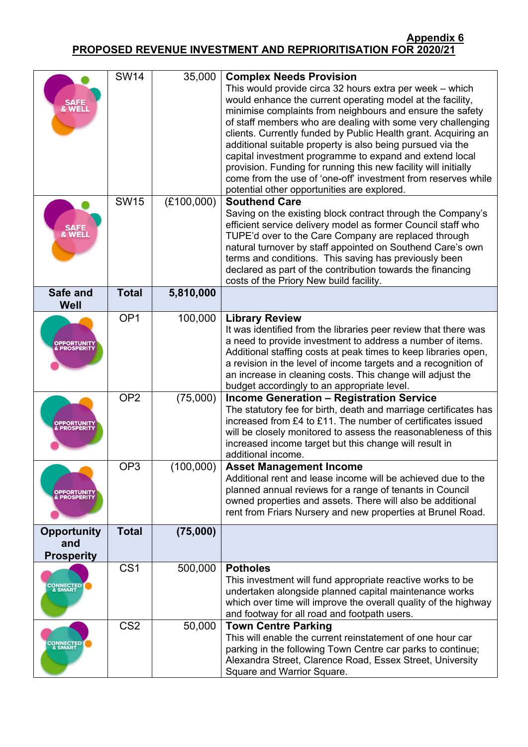| SAFE<br>& WELI                                 | <b>SW14</b>     | 35,000     | <b>Complex Needs Provision</b><br>This would provide circa 32 hours extra per week - which<br>would enhance the current operating model at the facility,<br>minimise complaints from neighbours and ensure the safety<br>of staff members who are dealing with some very challenging<br>clients. Currently funded by Public Health grant. Acquiring an<br>additional suitable property is also being pursued via the<br>capital investment programme to expand and extend local<br>provision. Funding for running this new facility will initially<br>come from the use of 'one-off' investment from reserves while<br>potential other opportunities are explored. |
|------------------------------------------------|-----------------|------------|--------------------------------------------------------------------------------------------------------------------------------------------------------------------------------------------------------------------------------------------------------------------------------------------------------------------------------------------------------------------------------------------------------------------------------------------------------------------------------------------------------------------------------------------------------------------------------------------------------------------------------------------------------------------|
| SAFE<br>& WELI                                 | <b>SW15</b>     | (E100,000) | <b>Southend Care</b><br>Saving on the existing block contract through the Company's<br>efficient service delivery model as former Council staff who<br>TUPE'd over to the Care Company are replaced through<br>natural turnover by staff appointed on Southend Care's own<br>terms and conditions. This saving has previously been<br>declared as part of the contribution towards the financing<br>costs of the Priory New build facility.                                                                                                                                                                                                                        |
| Safe and<br>Well                               | <b>Total</b>    | 5,810,000  |                                                                                                                                                                                                                                                                                                                                                                                                                                                                                                                                                                                                                                                                    |
| <b>PPORTUNIT)</b>                              | OP <sub>1</sub> | 100,000    | <b>Library Review</b><br>It was identified from the libraries peer review that there was<br>a need to provide investment to address a number of items.<br>Additional staffing costs at peak times to keep libraries open,<br>a revision in the level of income targets and a recognition of<br>an increase in cleaning costs. This change will adjust the<br>budget accordingly to an appropriate level.                                                                                                                                                                                                                                                           |
|                                                | OP <sub>2</sub> | (75,000)   | <b>Income Generation - Registration Service</b><br>The statutory fee for birth, death and marriage certificates has<br>increased from £4 to £11. The number of certificates issued<br>will be closely monitored to assess the reasonableness of this<br>increased income target but this change will result in<br>additional income.                                                                                                                                                                                                                                                                                                                               |
| <b>OPPORTUNITY</b><br>& PROSPERITY             | OP <sub>3</sub> | (100,000)  | <b>Asset Management Income</b><br>Additional rent and lease income will be achieved due to the<br>planned annual reviews for a range of tenants in Council<br>owned properties and assets. There will also be additional<br>rent from Friars Nursery and new properties at Brunel Road.                                                                                                                                                                                                                                                                                                                                                                            |
| <b>Opportunity</b><br>and<br><b>Prosperity</b> | <b>Total</b>    | (75,000)   |                                                                                                                                                                                                                                                                                                                                                                                                                                                                                                                                                                                                                                                                    |
| <b>CONNECTED</b><br>& SMART                    | CS <sub>1</sub> | 500,000    | <b>Potholes</b><br>This investment will fund appropriate reactive works to be<br>undertaken alongside planned capital maintenance works<br>which over time will improve the overall quality of the highway<br>and footway for all road and footpath users.                                                                                                                                                                                                                                                                                                                                                                                                         |
| CONNECTED                                      | CS <sub>2</sub> | 50,000     | <b>Town Centre Parking</b><br>This will enable the current reinstatement of one hour car<br>parking in the following Town Centre car parks to continue;<br>Alexandra Street, Clarence Road, Essex Street, University<br>Square and Warrior Square.                                                                                                                                                                                                                                                                                                                                                                                                                 |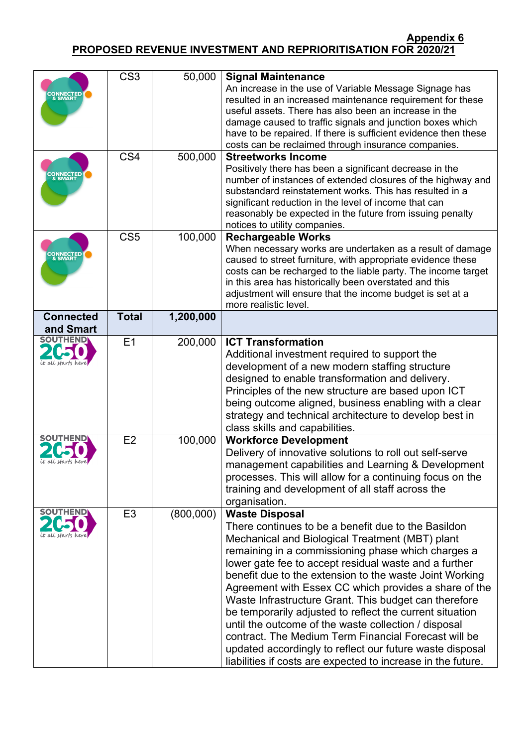| <b>CONNECTED</b><br>& SMART         | CS <sub>3</sub> | 50,000    | <b>Signal Maintenance</b><br>An increase in the use of Variable Message Signage has<br>resulted in an increased maintenance requirement for these<br>useful assets. There has also been an increase in the<br>damage caused to traffic signals and junction boxes which<br>have to be repaired. If there is sufficient evidence then these<br>costs can be reclaimed through insurance companies.                                                                                                                                                                                                                                                                                                                                   |
|-------------------------------------|-----------------|-----------|-------------------------------------------------------------------------------------------------------------------------------------------------------------------------------------------------------------------------------------------------------------------------------------------------------------------------------------------------------------------------------------------------------------------------------------------------------------------------------------------------------------------------------------------------------------------------------------------------------------------------------------------------------------------------------------------------------------------------------------|
| <b>CONNECTED</b><br>& SMART         | CS4             | 500,000   | <b>Streetworks Income</b><br>Positively there has been a significant decrease in the<br>number of instances of extended closures of the highway and<br>substandard reinstatement works. This has resulted in a<br>significant reduction in the level of income that can<br>reasonably be expected in the future from issuing penalty<br>notices to utility companies.                                                                                                                                                                                                                                                                                                                                                               |
| <b>CONNECTED<br/>&amp; SMART</b>    | CS <sub>5</sub> | 100,000   | <b>Rechargeable Works</b><br>When necessary works are undertaken as a result of damage<br>caused to street furniture, with appropriate evidence these<br>costs can be recharged to the liable party. The income target<br>in this area has historically been overstated and this<br>adjustment will ensure that the income budget is set at a<br>more realistic level.                                                                                                                                                                                                                                                                                                                                                              |
| <b>Connected</b><br>and Smart       | <b>Total</b>    | 1,200,000 |                                                                                                                                                                                                                                                                                                                                                                                                                                                                                                                                                                                                                                                                                                                                     |
| <b>SOUTHEND</b><br>t all starts her | E1              | 200,000   | <b>ICT Transformation</b><br>Additional investment required to support the<br>development of a new modern staffing structure<br>designed to enable transformation and delivery.<br>Principles of the new structure are based upon ICT<br>being outcome aligned, business enabling with a clear<br>strategy and technical architecture to develop best in<br>class skills and capabilities.                                                                                                                                                                                                                                                                                                                                          |
|                                     | E2              | 100,000   | <b>Workforce Development</b><br>Delivery of innovative solutions to roll out self-serve<br>management capabilities and Learning & Development<br>processes. This will allow for a continuing focus on the<br>training and development of all staff across the<br>organisation.                                                                                                                                                                                                                                                                                                                                                                                                                                                      |
| <b>SOUTHEND</b>                     | E <sub>3</sub>  | (800,000) | <b>Waste Disposal</b><br>There continues to be a benefit due to the Basildon<br>Mechanical and Biological Treatment (MBT) plant<br>remaining in a commissioning phase which charges a<br>lower gate fee to accept residual waste and a further<br>benefit due to the extension to the waste Joint Working<br>Agreement with Essex CC which provides a share of the<br>Waste Infrastructure Grant. This budget can therefore<br>be temporarily adjusted to reflect the current situation<br>until the outcome of the waste collection / disposal<br>contract. The Medium Term Financial Forecast will be<br>updated accordingly to reflect our future waste disposal<br>liabilities if costs are expected to increase in the future. |